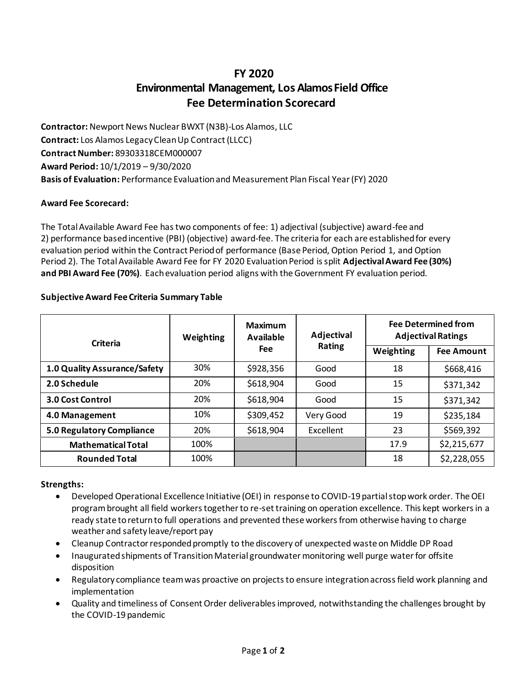# **FY 2020 Environmental Management, Los Alamos Field Office Fee Determination Scorecard**

**Contractor:** Newport News Nuclear BWXT (N3B)-Los Alamos, LLC **Contract:** Los Alamos Legacy Clean Up Contract (LLCC) **Contract Number:** 89303318CEM000007 **Award Period:** 10/1/2019 – 9/30/2020 **Basis of Evaluation:** Performance Evaluation and Measurement Plan Fiscal Year (FY) 2020

# **Award Fee Scorecard:**

The Total Available Award Fee has two components of fee: 1) adjectival (subjective) award-fee and 2) performance based incentive (PBI) (objective) award-fee. The criteria for each are established for every evaluation period within the Contract Period of performance (Base Period, Option Period 1, and Option Period 2). The Total Available Award Fee for FY 2020 Evaluation Period is split **AdjectivalAward Fee (30%) and PBI Award Fee (70%)**. Each evaluation period aligns with the Government FY evaluation period.

## **Subjective Award Fee Criteria Summary Table**

| <b>Criteria</b>              | <b>Weighting</b> | <b>Maximum</b><br>Available<br><b>Fee</b> | Adjectival<br><b>Rating</b> | <b>Fee Determined from</b><br><b>Adjectival Ratings</b> |                   |
|------------------------------|------------------|-------------------------------------------|-----------------------------|---------------------------------------------------------|-------------------|
|                              |                  |                                           |                             | Weighting                                               | <b>Fee Amount</b> |
| 1.0 Quality Assurance/Safety | 30%              | \$928,356                                 | Good                        | 18                                                      | \$668,416         |
| 2.0 Schedule                 | 20%              | \$618,904                                 | Good                        | 15                                                      | \$371,342         |
| 3.0 Cost Control             | 20%              | \$618,904                                 | Good                        | 15                                                      | \$371,342         |
| 4.0 Management               | 10%              | \$309,452                                 | Very Good                   | 19                                                      | \$235,184         |
| 5.0 Regulatory Compliance    | 20%              | \$618,904                                 | Excellent                   | 23                                                      | \$569,392         |
| <b>Mathematical Total</b>    | 100%             |                                           |                             | 17.9                                                    | \$2,215,677       |
| <b>Rounded Total</b>         | 100%             |                                           |                             | 18                                                      | \$2,228,055       |

#### **Strengths:**

- Developed Operational Excellence Initiative (OEI) in response to COVID-19 partial stop work order. The OEI program brought all field workers together to re-set training on operation excellence. This kept workers in a ready state to return to full operations and prevented these workers from otherwise having to charge weather and safety leave/report pay
- Cleanup Contractor responded promptly to the discovery of unexpected waste on Middle DP Road
- Inaugurated shipments of Transition Material groundwater monitoring well purge water for offsite disposition
- Regulatory compliance team was proactive on projects to ensure integration across field work planning and implementation
- Quality and timeliness of Consent Order deliverables improved, notwithstanding the challenges brought by the COVID-19 pandemic